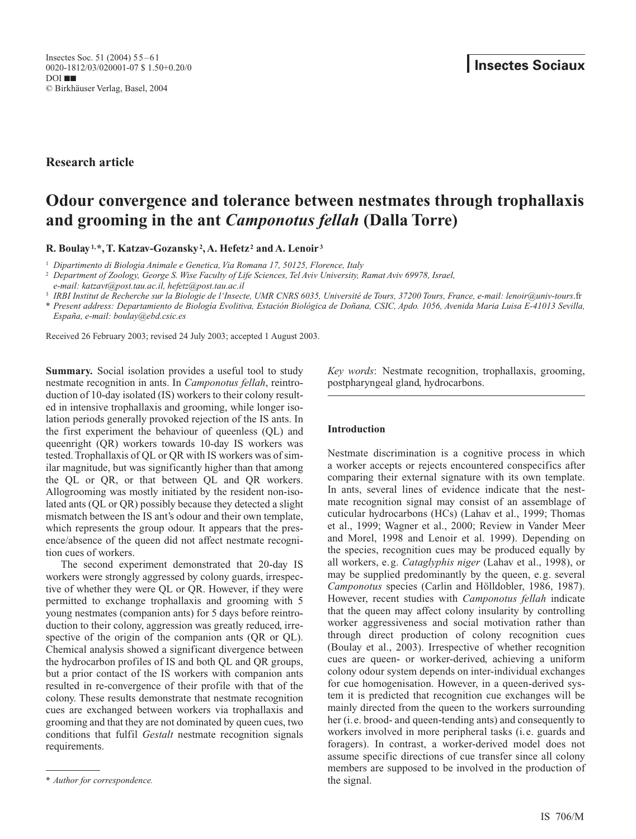**Research article**

# **Odour convergence and tolerance between nestmates through trophallaxis and grooming in the ant** *Camponotus fellah* **(Dalla Torre)**

**R. Boulay1,\*, T. Katzav-Gozansky2, A. Hefetz <sup>2</sup> and A. Lenoir <sup>3</sup>**

<sup>1</sup> *Dipartimento di Biologia Animale e Genetica, Via Romana 17, 50125, Florence, Italy*

<sup>2</sup> *Department of Zoology, George S. Wise Faculty of Life Sciences, Tel Aviv University, Ramat Aviv 69978, Israel,* 

*e-mail: katzavt@post.tau.ac.il, hefetz@post.tau.ac.il*

<sup>3</sup> *IRBI Institut de Recherche sur la Biologie de l'Insecte, UMR CNRS 6035, Université de Tours, 37200 Tours, France, e-mail: lenoir@univ-tours*.fr

\* *Present address: Departamiento de Biología Evolitiva, Estación Biológica de Doñana, CSIC, Apdo. 1056, Avenida Maria Luisa E-41013 Sevilla, España, e-mail: boulay@ebd.csic.es*

Received 26 February 2003; revised 24 July 2003; accepted 1 August 2003.

**Summary.** Social isolation provides a useful tool to study nestmate recognition in ants. In *Camponotus fellah*, reintroduction of 10-day isolated (IS) workers to their colony resulted in intensive trophallaxis and grooming, while longer isolation periods generally provoked rejection of the IS ants. In the first experiment the behaviour of queenless (QL) and queenright (QR) workers towards 10-day IS workers was tested. Trophallaxis of QL or QR with IS workers was of similar magnitude, but was significantly higher than that among the QL or QR, or that between QL and QR workers. Allogrooming was mostly initiated by the resident non-isolated ants (QL or QR) possibly because they detected a slight mismatch between the IS ant's odour and their own template, which represents the group odour. It appears that the presence/absence of the queen did not affect nestmate recognition cues of workers.

The second experiment demonstrated that 20-day IS workers were strongly aggressed by colony guards, irrespective of whether they were QL or QR. However, if they were permitted to exchange trophallaxis and grooming with 5 young nestmates (companion ants) for 5 days before reintroduction to their colony, aggression was greatly reduced, irrespective of the origin of the companion ants (QR or QL). Chemical analysis showed a significant divergence between the hydrocarbon profiles of IS and both QL and QR groups, but a prior contact of the IS workers with companion ants resulted in re-convergence of their profile with that of the colony. These results demonstrate that nestmate recognition cues are exchanged between workers via trophallaxis and grooming and that they are not dominated by queen cues, two conditions that fulfil *Gestalt* nestmate recognition signals requirements.

**\*** *Author for correspondence.*

*Key words*: Nestmate recognition, trophallaxis, grooming, postpharyngeal gland, hydrocarbons.

# **Introduction**

Nestmate discrimination is a cognitive process in which a worker accepts or rejects encountered conspecifics after comparing their external signature with its own template. In ants, several lines of evidence indicate that the nestmate recognition signal may consist of an assemblage of cuticular hydrocarbons (HCs) (Lahav et al., 1999; Thomas et al., 1999; Wagner et al., 2000; Review in Vander Meer and Morel, 1998 and Lenoir et al. 1999). Depending on the species, recognition cues may be produced equally by all workers, e.g. *Cataglyphis niger* (Lahav et al., 1998), or may be supplied predominantly by the queen, e.g. several *Camponotus* species (Carlin and Hölldobler, 1986, 1987). However, recent studies with *Camponotus fellah* indicate that the queen may affect colony insularity by controlling worker aggressiveness and social motivation rather than through direct production of colony recognition cues (Boulay et al., 2003). Irrespective of whether recognition cues are queen- or worker-derived, achieving a uniform colony odour system depends on inter-individual exchanges for cue homogenisation. However, in a queen-derived system it is predicted that recognition cue exchanges will be mainly directed from the queen to the workers surrounding her (i.e. brood- and queen-tending ants) and consequently to workers involved in more peripheral tasks (i.e. guards and foragers). In contrast, a worker-derived model does not assume specific directions of cue transfer since all colony members are supposed to be involved in the production of the signal.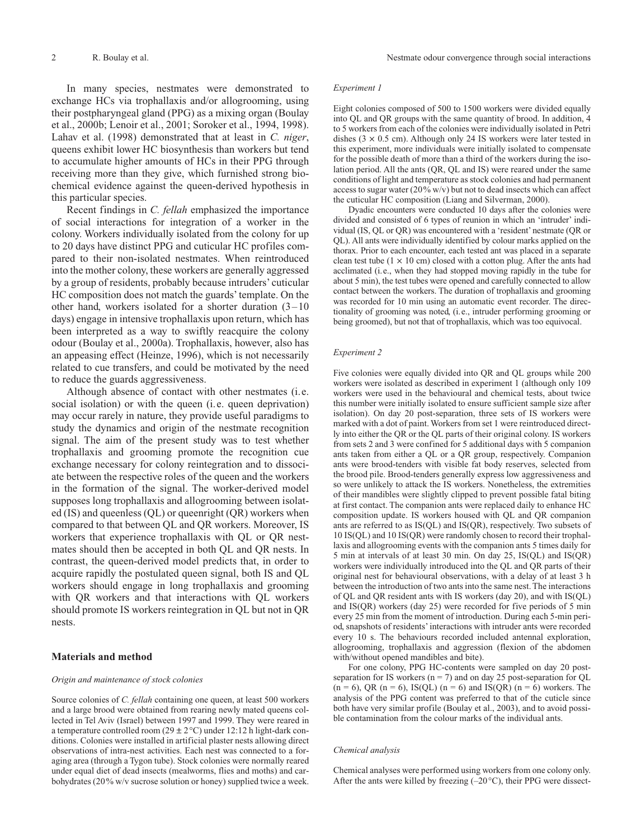In many species, nestmates were demonstrated to exchange HCs via trophallaxis and/or allogrooming, using their postpharyngeal gland (PPG) as a mixing organ (Boulay et al., 2000b; Lenoir et al., 2001; Soroker et al., 1994, 1998). Lahav et al. (1998) demonstrated that at least in *C. niger*, queens exhibit lower HC biosynthesis than workers but tend to accumulate higher amounts of HCs in their PPG through receiving more than they give, which furnished strong biochemical evidence against the queen-derived hypothesis in this particular species.

Recent findings in *C. fellah* emphasized the importance of social interactions for integration of a worker in the colony. Workers individually isolated from the colony for up to 20 days have distinct PPG and cuticular HC profiles compared to their non-isolated nestmates. When reintroduced into the mother colony, these workers are generally aggressed by a group of residents, probably because intruders' cuticular HC composition does not match the guards' template. On the other hand, workers isolated for a shorter duration (3–10 days) engage in intensive trophallaxis upon return, which has been interpreted as a way to swiftly reacquire the colony odour (Boulay et al., 2000a). Trophallaxis, however, also has an appeasing effect (Heinze, 1996), which is not necessarily related to cue transfers, and could be motivated by the need to reduce the guards aggressiveness.

Although absence of contact with other nestmates (i.e. social isolation) or with the queen (i.e. queen deprivation) may occur rarely in nature, they provide useful paradigms to study the dynamics and origin of the nestmate recognition signal. The aim of the present study was to test whether trophallaxis and grooming promote the recognition cue exchange necessary for colony reintegration and to dissociate between the respective roles of the queen and the workers in the formation of the signal. The worker-derived model supposes long trophallaxis and allogrooming between isolated (IS) and queenless (QL) or queenright (QR) workers when compared to that between QL and QR workers. Moreover, IS workers that experience trophallaxis with QL or QR nestmates should then be accepted in both QL and QR nests. In contrast, the queen-derived model predicts that, in order to acquire rapidly the postulated queen signal, both IS and QL workers should engage in long trophallaxis and grooming with QR workers and that interactions with QL workers should promote IS workers reintegration in QL but not in QR nests.

## **Materials and method**

## *Origin and maintenance of stock colonies*

Source colonies of *C. fellah* containing one queen, at least 500 workers and a large brood were obtained from rearing newly mated queens collected in Tel Aviv (Israel) between 1997 and 1999. They were reared in a temperature controlled room (29  $\pm$  2 °C) under 12:12 h light-dark conditions. Colonies were installed in artificial plaster nests allowing direct observations of intra-nest activities. Each nest was connected to a foraging area (through a Tygon tube). Stock colonies were normally reared under equal diet of dead insects (mealworms, flies and moths) and carbohydrates (20% w/v sucrose solution or honey) supplied twice a week.

#### *Experiment 1*

Eight colonies composed of 500 to 1500 workers were divided equally into QL and QR groups with the same quantity of brood. In addition, 4 to 5 workers from each of the colonies were individually isolated in Petri dishes  $(3 \times 0.5 \text{ cm})$ . Although only 24 IS workers were later tested in this experiment, more individuals were initially isolated to compensate for the possible death of more than a third of the workers during the isolation period. All the ants (QR, QL and IS) were reared under the same conditions of light and temperature as stock colonies and had permanent access to sugar water (20% w/v) but not to dead insects which can affect the cuticular HC composition (Liang and Silverman, 2000).

Dyadic encounters were conducted 10 days after the colonies were divided and consisted of 6 types of reunion in which an 'intruder' individual (IS, QL or QR) was encountered with a 'resident' nestmate (QR or QL). All ants were individually identified by colour marks applied on the thorax. Prior to each encounter, each tested ant was placed in a separate clean test tube  $(1 \times 10 \text{ cm})$  closed with a cotton plug. After the ants had acclimated (i.e., when they had stopped moving rapidly in the tube for about 5 min), the test tubes were opened and carefully connected to allow contact between the workers. The duration of trophallaxis and grooming was recorded for 10 min using an automatic event recorder. The directionality of grooming was noted, (i.e., intruder performing grooming or being groomed), but not that of trophallaxis, which was too equivocal.

## *Experiment 2*

Five colonies were equally divided into QR and QL groups while 200 workers were isolated as described in experiment 1 (although only 109 workers were used in the behavioural and chemical tests, about twice this number were initially isolated to ensure sufficient sample size after isolation). On day 20 post-separation, three sets of IS workers were marked with a dot of paint. Workers from set 1 were reintroduced directly into either the QR or the QL parts of their original colony. IS workers from sets 2 and 3 were confined for 5 additional days with 5 companion ants taken from either a QL or a QR group, respectively. Companion ants were brood-tenders with visible fat body reserves, selected from the brood pile. Brood-tenders generally express low aggressiveness and so were unlikely to attack the IS workers. Nonetheless, the extremities of their mandibles were slightly clipped to prevent possible fatal biting at first contact. The companion ants were replaced daily to enhance HC composition update. IS workers housed with QL and QR companion ants are referred to as IS(QL) and IS(QR), respectively. Two subsets of 10 IS(QL) and 10 IS(QR) were randomly chosen to record their trophallaxis and allogrooming events with the companion ants 5 times daily for 5 min at intervals of at least 30 min. On day 25, IS(QL) and IS(QR) workers were individually introduced into the QL and QR parts of their original nest for behavioural observations, with a delay of at least 3 h between the introduction of two ants into the same nest. The interactions of QL and QR resident ants with IS workers (day 20), and with IS(QL) and IS(QR) workers (day 25) were recorded for five periods of 5 min every 25 min from the moment of introduction. During each 5-min period, snapshots of residents' interactions with intruder ants were recorded every 10 s. The behaviours recorded included antennal exploration, allogrooming, trophallaxis and aggression (flexion of the abdomen with/without opened mandibles and bite).

For one colony, PPG HC-contents were sampled on day 20 postseparation for IS workers ( $n = 7$ ) and on day 25 post-separation for QL  $(n = 6)$ , QR  $(n = 6)$ , IS(QL)  $(n = 6)$  and IS(QR)  $(n = 6)$  workers. The analysis of the PPG content was preferred to that of the cuticle since both have very similar profile (Boulay et al., 2003), and to avoid possible contamination from the colour marks of the individual ants.

## *Chemical analysis*

Chemical analyses were performed using workers from one colony only. After the ants were killed by freezing (–20°C), their PPG were dissect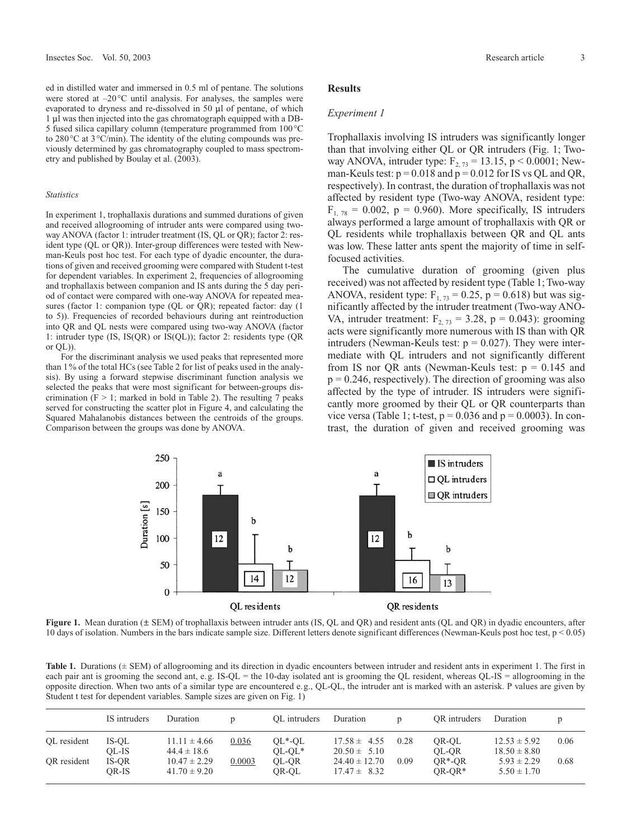ed in distilled water and immersed in 0.5 ml of pentane. The solutions were stored at –20°C until analysis. For analyses, the samples were evaporated to dryness and re-dissolved in 50 µl of pentane, of which 1 µl was then injected into the gas chromatograph equipped with a DB-5 fused silica capillary column (temperature programmed from 100°C to 280°C at 3°C/min). The identity of the eluting compounds was previously determined by gas chromatography coupled to mass spectrometry and published by Boulay et al. (2003).

#### *Statistics*

In experiment 1, trophallaxis durations and summed durations of given and received allogrooming of intruder ants were compared using twoway ANOVA (factor 1: intruder treatment (IS, QL or QR); factor 2: resident type (QL or QR)). Inter-group differences were tested with Newman-Keuls post hoc test. For each type of dyadic encounter, the durations of given and received grooming were compared with Student t-test for dependent variables. In experiment 2, frequencies of allogrooming and trophallaxis between companion and IS ants during the 5 day period of contact were compared with one-way ANOVA for repeated measures (factor 1: companion type (QL or QR); repeated factor: day (1 to 5)). Frequencies of recorded behaviours during ant reintroduction into QR and QL nests were compared using two-way ANOVA (factor 1: intruder type (IS, IS(QR) or IS(QL)); factor 2: residents type (QR or QL)).

For the discriminant analysis we used peaks that represented more than 1% of the total HCs (see Table 2 for list of peaks used in the analysis). By using a forward stepwise discriminant function analysis we selected the peaks that were most significant for between-groups discrimination ( $F > 1$ ; marked in bold in Table 2). The resulting 7 peaks served for constructing the scatter plot in Figure 4, and calculating the Squared Mahalanobis distances between the centroids of the groups. Comparison between the groups was done by ANOVA.

## **Results**

## *Experiment 1*

Trophallaxis involving IS intruders was significantly longer than that involving either QL or QR intruders (Fig. 1; Twoway ANOVA, intruder type:  $F_{2, 73} = 13.15$ , p < 0.0001; Newman-Keuls test:  $p = 0.018$  and  $p = 0.012$  for IS vs QL and QR, respectively). In contrast, the duration of trophallaxis was not affected by resident type (Two-way ANOVA, resident type:  $F_{1, 78} = 0.002$ ,  $p = 0.960$ ). More specifically, IS intruders always performed a large amount of trophallaxis with QR or QL residents while trophallaxis between QR and QL ants was low. These latter ants spent the majority of time in selffocused activities.

The cumulative duration of grooming (given plus received) was not affected by resident type (Table 1; Two-way ANOVA, resident type:  $F_{1, 73} = 0.25$ , p = 0.618) but was significantly affected by the intruder treatment (Two-way ANO-VA, intruder treatment:  $F_{2, 73} = 3.28$ ,  $p = 0.043$ ): grooming acts were significantly more numerous with IS than with QR intruders (Newman-Keuls test:  $p = 0.027$ ). They were intermediate with QL intruders and not significantly different from IS nor QR ants (Newman-Keuls test:  $p = 0.145$  and  $p = 0.246$ , respectively). The direction of grooming was also affected by the type of intruder. IS intruders were significantly more groomed by their QL or QR counterparts than vice versa (Table 1; t-test,  $p = 0.036$  and  $p = 0.0003$ ). In contrast, the duration of given and received grooming was



**Figure 1.** Mean duration ( $\pm$  SEM) of trophallaxis between intruder ants (IS, QL and QR) and resident ants (QL and QR) in dyadic encounters, after 10 days of isolation. Numbers in the bars indicate sample size. Different letters denote significant differences (Newman-Keuls post hoc test,  $p < 0.05$ )

Table 1. Durations ( $\pm$  SEM) of allogrooming and its direction in dyadic encounters between intruder and resident ants in experiment 1. The first in each pair ant is grooming the second ant, e.g. IS-QL = the 10-day isolated ant is grooming the QL resident, whereas QL-IS = allogrooming in the opposite direction. When two ants of a similar type are encountered e.g., QL-QL, the intruder ant is marked with an asterisk. P values are given by Student t test for dependent variables. Sample sizes are given on Fig. 1)

|             | IS intruders   | Duration                             |        | OL intruders         | Duration                              |      | OR intruders          | Duration                             | D    |
|-------------|----------------|--------------------------------------|--------|----------------------|---------------------------------------|------|-----------------------|--------------------------------------|------|
| OL resident | IS-OL<br>OL-IS | $11.11 \pm 4.66$<br>$44.4 \pm 18.6$  | 0.036  | $QL*-QL$<br>$OL-OL*$ | $17.58 \pm 4.55$<br>$20.50 \pm 5.10$  | 0.28 | OR-OL<br>OL-OR        | $12.53 \pm 5.92$<br>$18.50 \pm 8.80$ | 0.06 |
| OR resident | IS-OR<br>OR-IS | $10.47 \pm 2.29$<br>$41.70 \pm 9.20$ | 0.0003 | OL-OR<br>OR-OL       | $24.40 \pm 12.70$<br>$17.47 \pm 8.32$ | 0.09 | $OR*-OR$<br>$OR-OR^*$ | $5.93 \pm 2.29$<br>$5.50 \pm 1.70$   | 0.68 |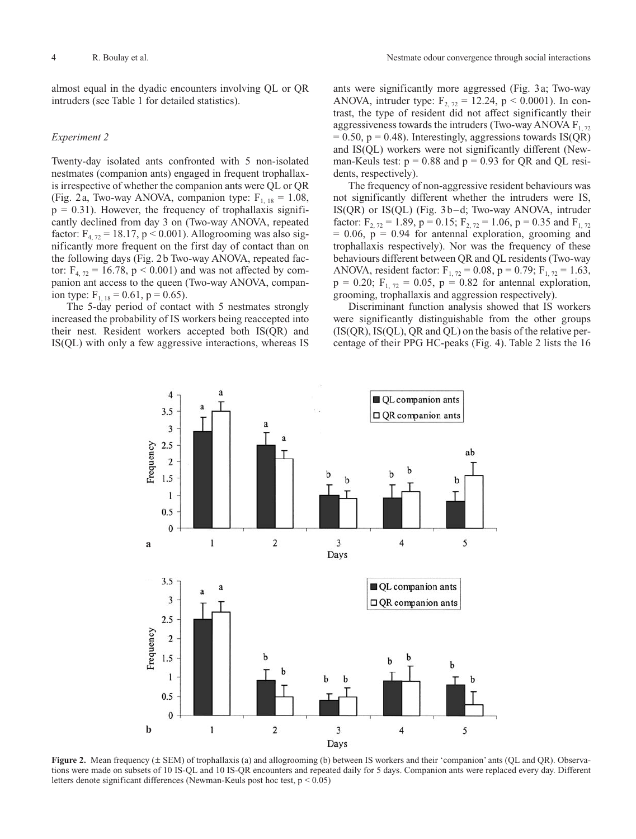almost equal in the dyadic encounters involving QL or QR intruders (see Table 1 for detailed statistics).

## *Experiment 2*

Twenty-day isolated ants confronted with 5 non-isolated nestmates (companion ants) engaged in frequent trophallaxis irrespective of whether the companion ants were QL or QR (Fig. 2a, Two-way ANOVA, companion type:  $F_{1, 18} = 1.08$ ,  $p = 0.31$ ). However, the frequency of trophallaxis significantly declined from day 3 on (Two-way ANOVA, repeated factor:  $F_{4, 72} = 18.17$ , p < 0.001). Allogrooming was also significantly more frequent on the first day of contact than on the following days (Fig. 2b Two-way ANOVA, repeated factor:  $F_{4,72} = 16.78$ , p < 0.001) and was not affected by companion ant access to the queen (Two-way ANOVA, companion type:  $F_{1, 18} = 0.61$ , p = 0.65).

The 5-day period of contact with 5 nestmates strongly increased the probability of IS workers being reaccepted into their nest. Resident workers accepted both IS(QR) and IS(QL) with only a few aggressive interactions, whereas IS ants were significantly more aggressed (Fig. 3a; Two-way ANOVA, intruder type:  $F_{2, 72} = 12.24$ , p < 0.0001). In contrast, the type of resident did not affect significantly their aggressiveness towards the intruders (Two-way ANOVA  $F_{1, 72}$ )  $= 0.50$ ,  $p = 0.48$ ). Interestingly, aggressions towards IS(QR) and IS(QL) workers were not significantly different (Newman-Keuls test:  $p = 0.88$  and  $p = 0.93$  for OR and OL residents, respectively).

The frequency of non-aggressive resident behaviours was not significantly different whether the intruders were IS, IS(QR) or IS(QL) (Fig. 3b–d; Two-way ANOVA, intruder factor:  $F_{2, 72} = 1.89$ ,  $p = 0.15$ ;  $F_{2, 72} = 1.06$ ,  $p = 0.35$  and  $F_{1, 72}$  $= 0.06$ ,  $p = 0.94$  for antennal exploration, grooming and trophallaxis respectively). Nor was the frequency of these behaviours different between QR and QL residents (Two-way ANOVA, resident factor:  $F_{1, 72} = 0.08$ ,  $p = 0.79$ ;  $F_{1, 72} = 1.63$ ,  $p = 0.20$ ;  $F_{1, 72} = 0.05$ ,  $p = 0.82$  for antennal exploration, grooming, trophallaxis and aggression respectively).

Discriminant function analysis showed that IS workers were significantly distinguishable from the other groups  $(IS(QR), IS(QL), QR$  and  $QL)$  on the basis of the relative percentage of their PPG HC-peaks (Fig. 4). Table 2 lists the 16



**Figure 2.** Mean frequency ( $\pm$  SEM) of trophallaxis (a) and allogrooming (b) between IS workers and their 'companion' ants (QL and QR). Observations were made on subsets of 10 IS-QL and 10 IS-QR encounters and repeated daily for 5 days. Companion ants were replaced every day. Different letters denote significant differences (Newman-Keuls post hoc test, p < 0.05)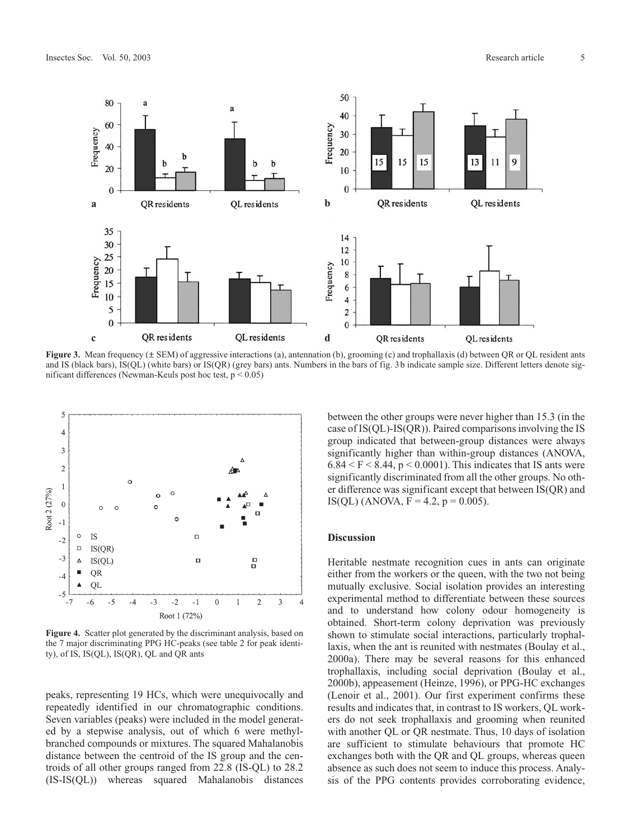

**Figure 3.** Mean frequency ( $\pm$  SEM) of aggressive interactions (a), antennation (b), grooming (c) and trophallaxis (d) between QR or QL resident ants and IS (black bars), IS(QL) (white bars) or IS(QR) (grey bars) ants. Numbers in the bars of fig. 3b indicate sample size. Different letters denote significant differences (Newman-Keuls post hoc test,  $p < 0.05$ )



**Figure 4.** Scatter plot generated by the discriminant analysis, based on the 7 major discriminating PPG HC-peaks (see table 2 for peak identity), of IS, IS(QL), IS(QR), QL and QR ants

peaks, representing 19 HCs, which were unequivocally and repeatedly identified in our chromatographic conditions. Seven variables (peaks) were included in the model generated by a stepwise analysis, out of which 6 were methylbranched compounds or mixtures. The squared Mahalanobis distance between the centroid of the IS group and the centroids of all other groups ranged from 22.8 (IS-QL) to 28.2 (IS-IS(QL)) whereas squared Mahalanobis distances between the other groups were never higher than 15.3 (in the case of IS(QL)-IS(QR)). Paired comparisons involving the IS group indicated that between-group distances were always significantly higher than within-group distances (ANOVA,  $6.84 \le F \le 8.44$ , p  $\le 0.0001$ ). This indicates that IS ants were significantly discriminated from all the other groups. No other difference was significant except that between IS(QR) and IS(QL) (ANOVA,  $F = 4.2$ ,  $p = 0.005$ ).

## **Discussion**

Heritable nestmate recognition cues in ants can originate either from the workers or the queen, with the two not being mutually exclusive. Social isolation provides an interesting experimental method to differentiate between these sources and to understand how colony odour homogeneity is obtained. Short-term colony deprivation was previously shown to stimulate social interactions, particularly trophallaxis, when the ant is reunited with nestmates (Boulay et al., 2000a). There may be several reasons for this enhanced trophallaxis, including social deprivation (Boulay et al., 2000b), appeasement (Heinze, 1996), or PPG-HC exchanges (Lenoir et al., 2001). Our first experiment confirms these results and indicates that, in contrast to IS workers, QL workers do not seek trophallaxis and grooming when reunited with another QL or QR nestmate. Thus, 10 days of isolation are sufficient to stimulate behaviours that promote HC exchanges both with the QR and QL groups, whereas queen absence as such does not seem to induce this process. Analysis of the PPG contents provides corroborating evidence,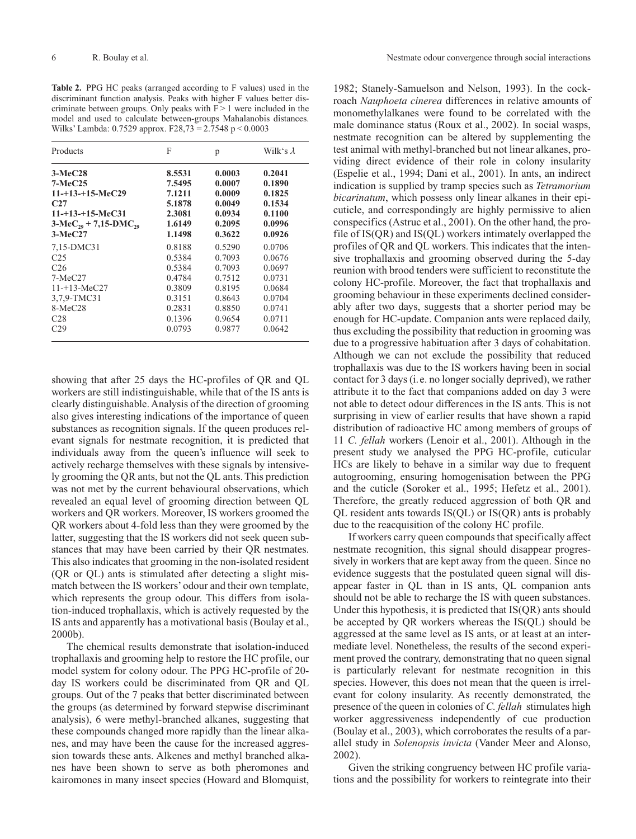**Table 2.** PPG HC peaks (arranged according to F values) used in the discriminant function analysis. Peaks with higher F values better discriminate between groups. Only peaks with  $F > 1$  were included in the model and used to calculate between-groups Mahalanobis distances. Wilks' Lambda: 0.7529 approx. F28,73 = 2.7548 p < 0.0003

| Products                     | F      | p      | Wilk's $\lambda$ |
|------------------------------|--------|--------|------------------|
| $3-MeC28$                    | 8.5531 | 0.0003 | 0.2041           |
| $7-MeC25$                    | 7.5495 | 0.0007 | 0.1890           |
| $11 - +13 - +15$ -MeC29      | 7.1211 | 0.0009 | 0.1825           |
| C27                          | 5.1878 | 0.0049 | 0.1534           |
| $11 - +13 - +15$ -MeC31      | 2.3081 | 0.0934 | 0.1100           |
| $3-MeC_{29} + 7,15-DMC_{29}$ | 1.6149 | 0.2095 | 0.0996           |
| $3-MeC27$                    | 1.1498 | 0.3622 | 0.0926           |
| 7,15-DMC31                   | 0.8188 | 0.5290 | 0.0706           |
| C <sub>25</sub>              | 0.5384 | 0.7093 | 0.0676           |
| C <sub>26</sub>              | 0.5384 | 0.7093 | 0.0697           |
| $7-MeC27$                    | 0.4784 | 0.7512 | 0.0731           |
| $11 - 13 - \text{MeC}27$     | 0.3809 | 0.8195 | 0.0684           |
| 3,7,9-TMC31                  | 0.3151 | 0.8643 | 0.0704           |
| $8-MeC28$                    | 0.2831 | 0.8850 | 0.0741           |
| C <sub>28</sub>              | 0.1396 | 0.9654 | 0.0711           |
| C29                          | 0.0793 | 0.9877 | 0.0642           |

showing that after 25 days the HC-profiles of QR and QL workers are still indistinguishable, while that of the IS ants is clearly distinguishable. Analysis of the direction of grooming also gives interesting indications of the importance of queen substances as recognition signals. If the queen produces relevant signals for nestmate recognition, it is predicted that individuals away from the queen's influence will seek to actively recharge themselves with these signals by intensively grooming the QR ants, but not the QL ants. This prediction was not met by the current behavioural observations, which revealed an equal level of grooming direction between QL workers and QR workers. Moreover, IS workers groomed the QR workers about 4-fold less than they were groomed by the latter, suggesting that the IS workers did not seek queen substances that may have been carried by their QR nestmates. This also indicates that grooming in the non-isolated resident (QR or QL) ants is stimulated after detecting a slight mismatch between the IS workers' odour and their own template, which represents the group odour. This differs from isolation-induced trophallaxis, which is actively requested by the IS ants and apparently has a motivational basis (Boulay et al., 2000b).

The chemical results demonstrate that isolation-induced trophallaxis and grooming help to restore the HC profile, our model system for colony odour. The PPG HC-profile of 20 day IS workers could be discriminated from QR and QL groups. Out of the 7 peaks that better discriminated between the groups (as determined by forward stepwise discriminant analysis), 6 were methyl-branched alkanes, suggesting that these compounds changed more rapidly than the linear alkanes, and may have been the cause for the increased aggression towards these ants. Alkenes and methyl branched alkanes have been shown to serve as both pheromones and kairomones in many insect species (Howard and Blomquist, 1982; Stanely-Samuelson and Nelson, 1993). In the cockroach *Nauphoeta cinerea* differences in relative amounts of monomethylalkanes were found to be correlated with the male dominance status (Roux et al., 2002). In social wasps, nestmate recognition can be altered by supplementing the test animal with methyl-branched but not linear alkanes, providing direct evidence of their role in colony insularity (Espelie et al., 1994; Dani et al., 2001). In ants, an indirect indication is supplied by tramp species such as *Tetramorium bicarinatum*, which possess only linear alkanes in their epicuticle, and correspondingly are highly permissive to alien conspecifics (Astruc et al., 2001). On the other hand, the profile of IS(QR) and IS(QL) workers intimately overlapped the profiles of QR and QL workers. This indicates that the intensive trophallaxis and grooming observed during the 5-day reunion with brood tenders were sufficient to reconstitute the colony HC-profile. Moreover, the fact that trophallaxis and grooming behaviour in these experiments declined considerably after two days, suggests that a shorter period may be enough for HC-update. Companion ants were replaced daily, thus excluding the possibility that reduction in grooming was due to a progressive habituation after 3 days of cohabitation. Although we can not exclude the possibility that reduced trophallaxis was due to the IS workers having been in social contact for 3 days (i.e. no longer socially deprived), we rather attribute it to the fact that companions added on day 3 were not able to detect odour differences in the IS ants. This is not surprising in view of earlier results that have shown a rapid distribution of radioactive HC among members of groups of 11 *C. fellah* workers (Lenoir et al., 2001). Although in the present study we analysed the PPG HC-profile, cuticular HCs are likely to behave in a similar way due to frequent autogrooming, ensuring homogenisation between the PPG and the cuticle (Soroker et al., 1995; Hefetz et al., 2001). Therefore, the greatly reduced aggression of both QR and QL resident ants towards IS(QL) or IS(QR) ants is probably due to the reacquisition of the colony HC profile.

If workers carry queen compounds that specifically affect nestmate recognition, this signal should disappear progressively in workers that are kept away from the queen. Since no evidence suggests that the postulated queen signal will disappear faster in QL than in IS ants, QL companion ants should not be able to recharge the IS with queen substances. Under this hypothesis, it is predicted that IS(QR) ants should be accepted by QR workers whereas the IS(QL) should be aggressed at the same level as IS ants, or at least at an intermediate level. Nonetheless, the results of the second experiment proved the contrary, demonstrating that no queen signal is particularly relevant for nestmate recognition in this species. However, this does not mean that the queen is irrelevant for colony insularity. As recently demonstrated, the presence of the queen in colonies of *C. fellah* stimulates high worker aggressiveness independently of cue production (Boulay et al., 2003), which corroborates the results of a parallel study in *Solenopsis invicta* (Vander Meer and Alonso, 2002).

Given the striking congruency between HC profile variations and the possibility for workers to reintegrate into their